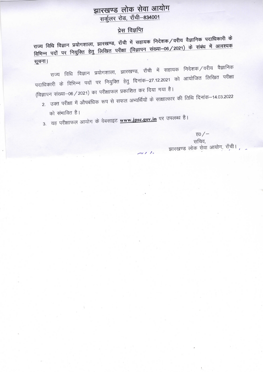## झारखण्ड लोक सेवा आयोग सर्कूलर रोड, राँची-834001

## प्रेस विज्ञप्ति

राज्य विधि विज्ञान प्रयोगशाला, झारखण्ड, राँची में सहायक निदेशक/वरीय वैज्ञानिक पदाधिकारी के विभिन्न पदों पर नियुक्ति हेतु लिखित परीक्षा (विज्ञापन संख्या–06/2021) के संबंध में आवश्यक सूचना।

राज्य विधि विज्ञान प्रयोगशाला, झारखण्ड, राँची में सहायक निदेशक/वरीय वैज्ञानिक पदाधिकारी के विभिन्न पदों पर नियुक्ति हेतु दिनांक–27.12.2021 को आयोजित लिखित परीक्षा (विज्ञापन संख्या–06 / 2021) का परीक्षाफल प्रकाशित कर दिया गया है।

2. उक्त परीक्षा में औपबंधिक रूप से सफल अभ्यर्थियों के साक्षात्कार की तिथि दिनांक–14.03.2022 को संभावित है।

 $\times$  / /

3. यह परीक्षाफल आयोग के वेबसाइट **www.jpsc.gov.in** पर उपलब्ध है।

ह $0/$ सचिव, झारखण्ड लोक सेवा आयोग, राँची।